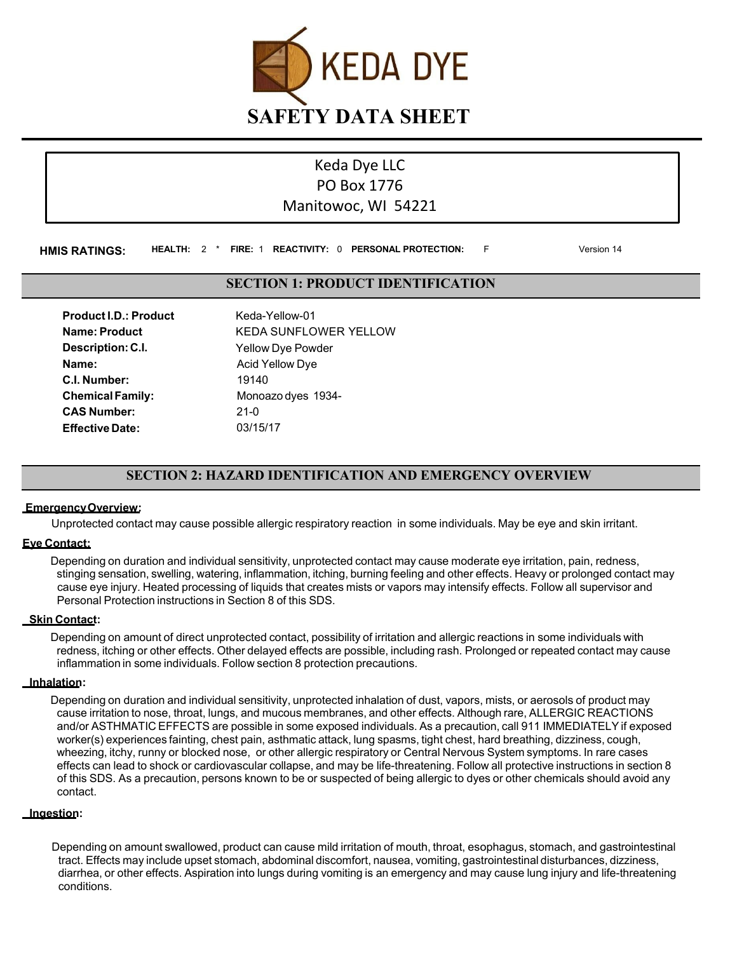

# Keda Dye LLC PO Box 1776 Manitowoc, WI 54221

**HMIS RATINGS: HEALTH:** 2 \* **FIRE:** 1 **REACTIVITY:** 0 **PERSONAL PROTECTION:** F Version 14

# **SECTION 1: PRODUCT IDENTIFICATION**

| <b>Product I.D.: Product</b> | Keda-Yellow-01               |
|------------------------------|------------------------------|
| <b>Name: Product</b>         | <b>KEDA SUNFLOWER YELLOW</b> |
| Description: C.I.            | <b>Yellow Dye Powder</b>     |
| Name:                        | <b>Acid Yellow Dye</b>       |
| C.I. Number:                 | 19140                        |
| <b>Chemical Family:</b>      | Monoazo dyes 1934-           |
| <b>CAS Number:</b>           | $21-0$                       |
| <b>Effective Date:</b>       | 03/15/17                     |

# **SECTION 2: HAZARD IDENTIFICATION AND EMERGENCY OVERVIEW**

### **EmergencyOverview:**

Unprotected contact may cause possible allergic respiratory reaction in some individuals. May be eye and skin irritant.

### **Eye Contact:**

Depending on duration and individual sensitivity, unprotected contact may cause moderate eye irritation, pain, redness, stinging sensation, swelling, watering, inflammation, itching, burning feeling and other effects. Heavy or prolonged contact may cause eye injury. Heated processing of liquids that creates mists or vapors may intensify effects. Follow all supervisor and Personal Protection instructions in Section 8 of this SDS.

### **Skin Contact:**

Depending on amount of direct unprotected contact, possibility of irritation and allergic reactions in some individuals with redness, itching or other effects. Other delayed effects are possible, including rash. Prolonged or repeated contact may cause inflammation in some individuals. Follow section 8 protection precautions.

### **Inhalation:**

Depending on duration and individual sensitivity, unprotected inhalation of dust, vapors, mists, or aerosols of product may cause irritation to nose, throat, lungs, and mucous membranes, and other effects. Although rare, ALLERGIC REACTIONS and/or ASTHMATIC EFFECTS are possible in some exposed individuals. As a precaution, call 911 IMMEDIATELY if exposed worker(s) experiences fainting, chest pain, asthmatic attack, lung spasms, tight chest, hard breathing, dizziness, cough, wheezing, itchy, runny or blocked nose, or other allergic respiratory or Central Nervous System symptoms. In rare cases effects can lead to shock or cardiovascular collapse, and may be life-threatening. Follow all protective instructions in section 8 of this SDS. As a precaution, persons known to be or suspected of being allergic to dyes or other chemicals should avoid any contact.

### **Ingestion:**

Depending on amount swallowed, product can cause mild irritation of mouth, throat, esophagus, stomach, and gastrointestinal tract. Effects may include upset stomach, abdominal discomfort, nausea, vomiting, gastrointestinal disturbances, dizziness, diarrhea, or other effects. Aspiration into lungs during vomiting is an emergency and may cause lung injury and life-threatening conditions.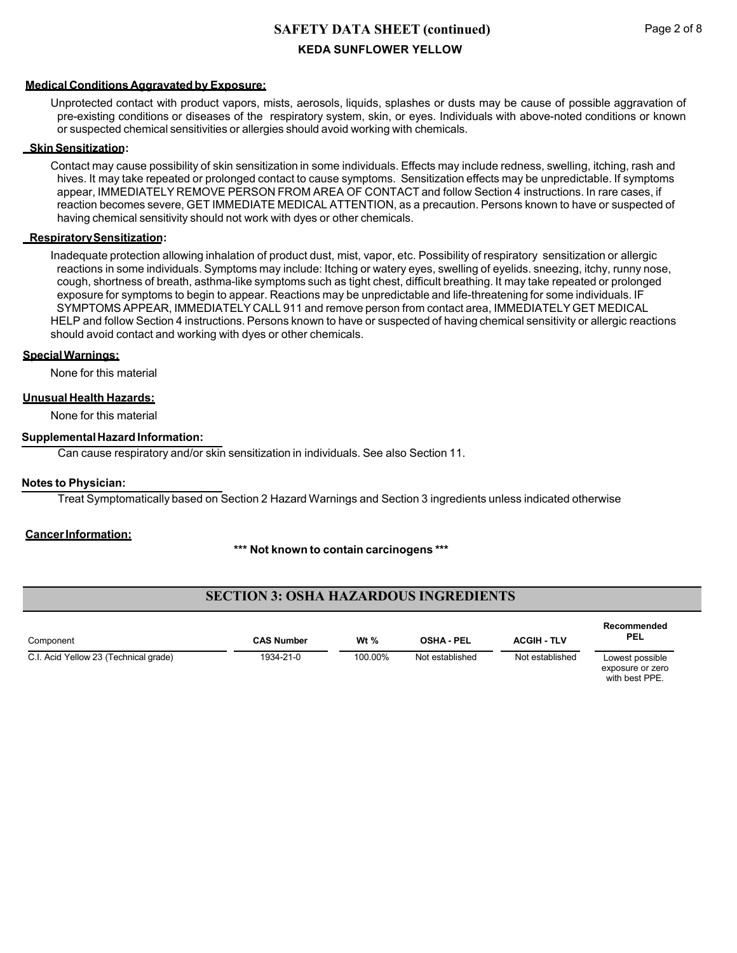### **Medical Conditions Aggravated by Exposure:**

Unprotected contact with product vapors, mists, aerosols, liquids, splashes or dusts may be cause of possible aggravation of pre-existing conditions or diseases of the respiratory system, skin, or eyes. Individuals with above-noted conditions or known or suspected chemical sensitivities or allergies should avoid working with chemicals.

### **SkinSensitization:**

Contact may cause possibility of skin sensitization in some individuals. Effects may include redness, swelling, itching, rash and hives. It may take repeated or prolonged contact to cause symptoms. Sensitization effects may be unpredictable. If symptoms appear, IMMEDIATELY REMOVE PERSON FROM AREA OF CONTACT and follow Section 4 instructions. In rare cases, if reaction becomes severe, GET IMMEDIATE MEDICAL ATTENTION, as a precaution. Persons known to have or suspected of having chemical sensitivity should not work with dyes or other chemicals.

#### **RespiratorySensitization:**

Inadequate protection allowing inhalation of product dust, mist, vapor, etc. Possibility of respiratory sensitization or allergic reactions in some individuals. Symptoms may include: Itching or watery eyes, swelling of eyelids. sneezing, itchy, runny nose, cough, shortness of breath, asthma-like symptoms such as tight chest, difficult breathing. It may take repeated or prolonged exposure for symptoms to begin to appear. Reactions may be unpredictable and life-threatening for some individuals. IF SYMPTOMS APPEAR, IMMEDIATELY CALL 911 and remove person from contact area, IMMEDIATELY GET MEDICAL HELP and follow Section 4 instructions. Persons known to have or suspected of having chemical sensitivity or allergic reactions should avoid contact and working with dyes or other chemicals.

### **SpecialWarnings:**

None for this material

### **Unusual Health Hazards:**

None for this material

### **SupplementalHazard Information:**

Can cause respiratory and/or skin sensitization in individuals. See also Section 11.

### **Notes to Physician:**

Treat Symptomatically based on Section 2 Hazard Warnings and Section 3 ingredients unless indicated otherwise

### **CancerInformation:**

### **\*\*\* Not known to contain carcinogens \*\*\***

# **SECTION 3: OSHA HAZARDOUS INGREDIENTS**

| Component                             | <b>CAS Number</b> | Wt $%$  | <b>OSHA - PEL</b> | <b>ACGIH - TLV</b> | Recommended<br><b>PEL</b>                            |
|---------------------------------------|-------------------|---------|-------------------|--------------------|------------------------------------------------------|
| C.I. Acid Yellow 23 (Technical grade) | 1934-21-0         | 100.00% | Not established   | Not established    | Lowest possible<br>exposure or zero<br>with hest PPF |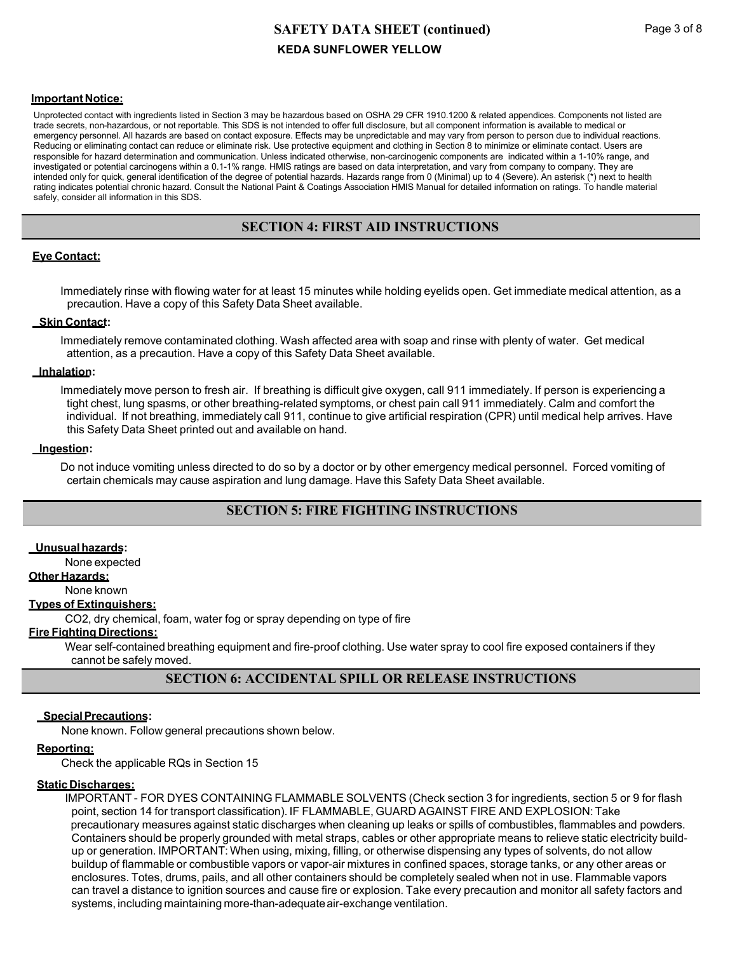#### **Important Notice:**

Unprotected contact with ingredients listed in Section 3 may be hazardous based on OSHA 29 CFR 1910.1200 & related appendices. Components not listed are trade secrets, non-hazardous, or not reportable. This SDS is not intended to offer full disclosure, but all component information is available to medical or emergency personnel. All hazards are based on contact exposure. Effects may be unpredictable and may vary from person to person due to individual reactions. Reducing or eliminating contact can reduce or eliminate risk. Use protective equipment and clothing in Section 8 to minimize or eliminate contact. Users are responsible for hazard determination and communication. Unless indicated otherwise, non-carcinogenic components are indicated within a 1-10% range, and investigated or potential carcinogens within a 0.1-1% range. HMIS ratings are based on data interpretation, and vary from company to company. They are intended only for quick, general identification of the degree of potential hazards. Hazards range from 0 (Minimal) up to 4 (Severe). An asterisk (\*) next to health rating indicates potential chronic hazard. Consult the National Paint & Coatings Association HMIS Manual for detailed information on ratings. To handle material safely, consider all information in this SDS.

## **SECTION 4: FIRST AID INSTRUCTIONS**

### **Eye Contact:**

Immediately rinse with flowing water for at least 15 minutes while holding eyelids open. Get immediate medical attention, as a precaution. Have a copy of this Safety Data Sheet available.

### **Skin Contact:**

Immediately remove contaminated clothing. Wash affected area with soap and rinse with plenty of water. Get medical attention, as a precaution. Have a copy of this Safety Data Sheet available.

### **Inhalation:**

Immediately move person to fresh air. If breathing is difficult give oxygen, call 911 immediately. If person is experiencing a tight chest, lung spasms, or other breathing-related symptoms, or chest pain call 911 immediately. Calm and comfort the individual. If not breathing, immediately call 911, continue to give artificial respiration (CPR) until medical help arrives. Have this Safety Data Sheet printed out and available on hand.

### **Ingestion:**

Do not induce vomiting unless directed to do so by a doctor or by other emergency medical personnel. Forced vomiting of certain chemicals may cause aspiration and lung damage. Have this Safety Data Sheet available.

# **SECTION 5: FIRE FIGHTING INSTRUCTIONS**

### **Unusualhazards:**

None expected

## **Other Hazards:**

None known

## **Types of Extinguishers:**

CO2, dry chemical, foam, water fog or spray depending on type of fire

#### **Fire Fighting Directions:**

Wear self-contained breathing equipment and fire-proof clothing. Use water spray to cool fire exposed containers if they cannot be safely moved.

## **SECTION 6: ACCIDENTAL SPILL OR RELEASE INSTRUCTIONS**

### **SpecialPrecautions:**

None known. Follow general precautions shown below.

### **Reporting:**

Check the applicable RQs in Section 15

### **StaticDischarges:**

IMPORTANT - FOR DYES CONTAINING FLAMMABLE SOLVENTS (Check section 3 for ingredients, section 5 or 9 for flash point, section 14 for transport classification). IF FLAMMABLE, GUARD AGAINST FIRE AND EXPLOSION: Take precautionary measures against static discharges when cleaning up leaks or spills of combustibles, flammables and powders. Containers should be properly grounded with metal straps, cables or other appropriate means to relieve static electricity buildup or generation. IMPORTANT: When using, mixing, filling, or otherwise dispensing any types of solvents, do not allow buildup of flammable or combustible vapors or vapor-air mixtures in confined spaces, storage tanks, or any other areas or enclosures. Totes, drums, pails, and all other containers should be completely sealed when not in use. Flammable vapors can travel a distance to ignition sources and cause fire or explosion. Take every precaution and monitor all safety factors and systems, including maintaining more-than-adequate air-exchange ventilation.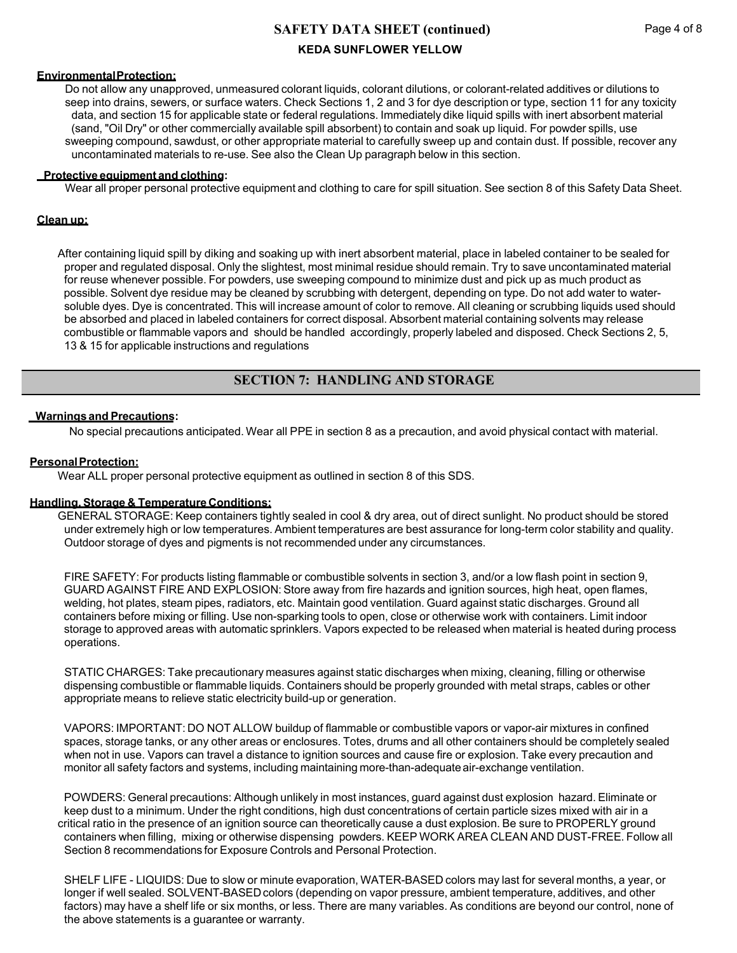### **EnvironmentalProtection:**

Do not allow any unapproved, unmeasured colorant liquids, colorant dilutions, or colorant-related additives or dilutions to seep into drains, sewers, or surface waters. Check Sections 1, 2 and 3 for dye description or type, section 11 for any toxicity data, and section 15 for applicable state or federal regulations. Immediately dike liquid spills with inert absorbent material (sand, "Oil Dry" or other commercially available spill absorbent) to contain and soak up liquid. For powder spills, use sweeping compound, sawdust, or other appropriate material to carefully sweep up and contain dust. If possible, recover any uncontaminated materials to re-use. See also the Clean Up paragraph below in this section.

### **Protective equipment and clothing:**

Wear all proper personal protective equipment and clothing to care for spill situation. See section 8 of this Safety Data Sheet.

### **Clean up:**

After containing liquid spill by diking and soaking up with inert absorbent material, place in labeled container to be sealed for proper and regulated disposal. Only the slightest, most minimal residue should remain. Try to save uncontaminated material for reuse whenever possible. For powders, use sweeping compound to minimize dust and pick up as much product as possible. Solvent dye residue may be cleaned by scrubbing with detergent, depending on type. Do not add water to watersoluble dyes. Dye is concentrated. This will increase amount of color to remove. All cleaning or scrubbing liquids used should be absorbed and placed in labeled containers for correct disposal. Absorbent material containing solvents may release combustible or flammable vapors and should be handled accordingly, properly labeled and disposed. Check Sections 2, 5, 13 & 15 for applicable instructions and regulations

## **SECTION 7: HANDLING AND STORAGE**

### **Warnings and Precautions:**

No special precautions anticipated. Wear all PPE in section 8 as a precaution, and avoid physical contact with material.

### **PersonalProtection:**

Wear ALL proper personal protective equipment as outlined in section 8 of this SDS.

### **Handling,Storage & Temperature Conditions:**

GENERAL STORAGE: Keep containers tightly sealed in cool & dry area, out of direct sunlight. No product should be stored under extremely high or low temperatures. Ambient temperatures are best assurance for long-term color stability and quality. Outdoor storage of dyes and pigments is not recommended under any circumstances.

FIRE SAFETY: For products listing flammable or combustible solvents in section 3, and/or a low flash point in section 9, GUARD AGAINST FIRE AND EXPLOSION: Store away from fire hazards and ignition sources, high heat, open flames, welding, hot plates, steam pipes, radiators, etc. Maintain good ventilation. Guard against static discharges. Ground all containers before mixing or filling. Use non-sparking tools to open, close or otherwise work with containers. Limit indoor storage to approved areas with automatic sprinklers. Vapors expected to be released when material is heated during process operations.

STATIC CHARGES: Take precautionary measures against static discharges when mixing, cleaning, filling or otherwise dispensing combustible or flammable liquids. Containers should be properly grounded with metal straps, cables or other appropriate means to relieve static electricity build-up or generation.

VAPORS: IMPORTANT: DO NOT ALLOW buildup of flammable or combustible vapors or vapor-air mixtures in confined spaces, storage tanks, or any other areas or enclosures. Totes, drums and all other containers should be completely sealed when not in use. Vapors can travel a distance to ignition sources and cause fire or explosion. Take every precaution and monitor all safety factors and systems, including maintaining more-than-adequate air-exchange ventilation.

POWDERS: General precautions: Although unlikely in most instances, guard against dust explosion hazard. Eliminate or keep dust to a minimum. Under the right conditions, high dust concentrations of certain particle sizes mixed with air in a critical ratio in the presence of an ignition source can theoretically cause a dust explosion. Be sure to PROPERLY ground containers when filling, mixing or otherwise dispensing powders. KEEP WORK AREA CLEAN AND DUST-FREE. Follow all Section 8 recommendations for Exposure Controls and Personal Protection.

SHELF LIFE - LIQUIDS: Due to slow or minute evaporation, WATER-BASED colors may last for several months, a year, or longer if well sealed. SOLVENT-BASED colors (depending on vapor pressure, ambient temperature, additives, and other factors) may have a shelf life or six months, or less. There are many variables. As conditions are beyond our control, none of the above statements is a guarantee or warranty.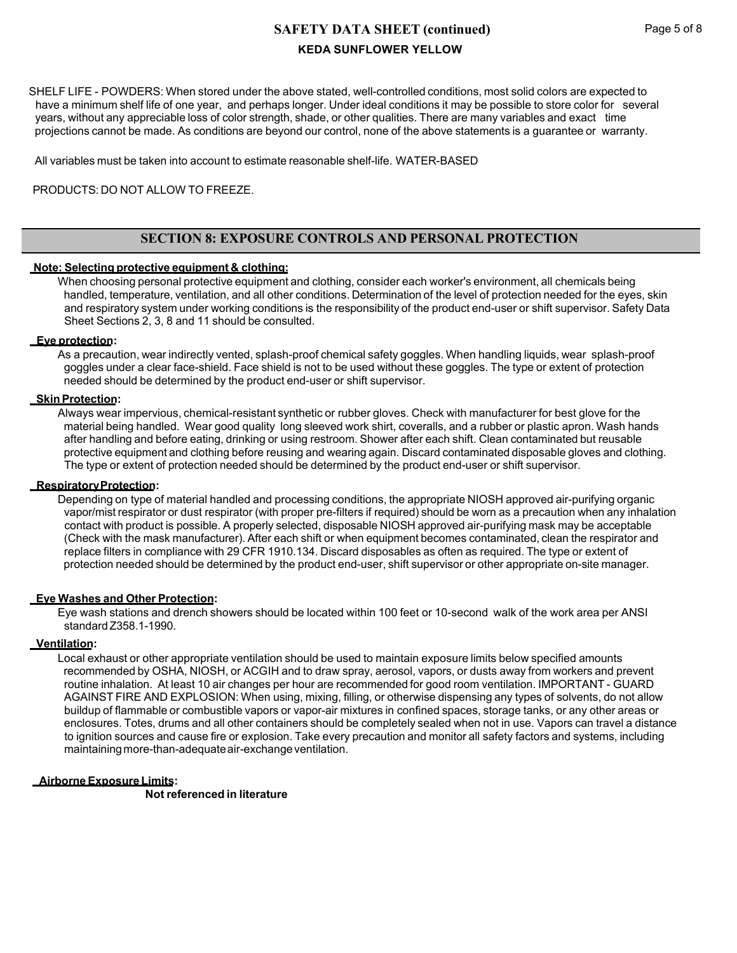SHELF LIFE - POWDERS: When stored under the above stated, well-controlled conditions, most solid colors are expected to have a minimum shelf life of one year, and perhaps longer. Under ideal conditions it may be possible to store color for several years, without any appreciable loss of color strength, shade, or other qualities. There are many variables and exact time projections cannot be made. As conditions are beyond our control, none of the above statements is a guarantee or warranty.

All variables must be taken into account to estimate reasonable shelf-life. WATER-BASED

### PRODUCTS: DO NOT ALLOW TO FREEZE.

# **SECTION 8: EXPOSURE CONTROLS AND PERSONAL PROTECTION**

### **Note: Selecting protective equipment & clothing:**

When choosing personal protective equipment and clothing, consider each worker's environment, all chemicals being handled, temperature, ventilation, and all other conditions. Determination of the level of protection needed for the eyes, skin and respiratory system under working conditions is the responsibility of the product end-user or shift supervisor. Safety Data Sheet Sections 2, 3, 8 and 11 should be consulted.

### **Eye protection:**

As a precaution, wear indirectly vented, splash-proof chemical safety goggles. When handling liquids, wear splash-proof goggles under a clear face-shield. Face shield is not to be used without these goggles. The type or extent of protection needed should be determined by the product end-user or shift supervisor.

### **Skin Protection:**

Always wear impervious, chemical-resistant synthetic or rubber gloves. Check with manufacturer for best glove for the material being handled. Wear good quality long sleeved work shirt, coveralls, and a rubber or plastic apron. Wash hands after handling and before eating, drinking or using restroom. Shower after each shift. Clean contaminated but reusable protective equipment and clothing before reusing and wearing again. Discard contaminated disposable gloves and clothing. The type or extent of protection needed should be determined by the product end-user or shift supervisor.

### **RespiratoryProtection:**

Depending on type of material handled and processing conditions, the appropriate NIOSH approved air-purifying organic vapor/mist respirator or dust respirator (with proper pre-filters if required) should be worn as a precaution when any inhalation contact with product is possible. A properly selected, disposable NIOSH approved air-purifying mask may be acceptable (Check with the mask manufacturer). After each shift or when equipment becomes contaminated, clean the respirator and replace filters in compliance with 29 CFR 1910.134. Discard disposables as often as required. The type or extent of protection needed should be determined by the product end-user, shift supervisor or other appropriate on-site manager.

### **Eye Washes and Other Protection:**

Eye wash stations and drench showers should be located within 100 feet or 10-second walk of the work area per ANSI standardZ358.1-1990.

### **Ventilation:**

Local exhaust or other appropriate ventilation should be used to maintain exposure limits below specified amounts recommended by OSHA, NIOSH, or ACGIH and to draw spray, aerosol, vapors, or dusts away from workers and prevent routine inhalation. At least 10 air changes per hour are recommended for good room ventilation. IMPORTANT - GUARD AGAINST FIRE AND EXPLOSION: When using, mixing, filling, or otherwise dispensing any types of solvents, do not allow buildup of flammable or combustible vapors or vapor-air mixtures in confined spaces, storage tanks, or any other areas or enclosures. Totes, drums and all other containers should be completely sealed when not in use. Vapors can travel a distance to ignition sources and cause fire or explosion. Take every precaution and monitor all safety factors and systems, including maintaining more-than-adequate air-exchange ventilation.

### **Airborne Exposure Limits:**

**Not referenced in literature**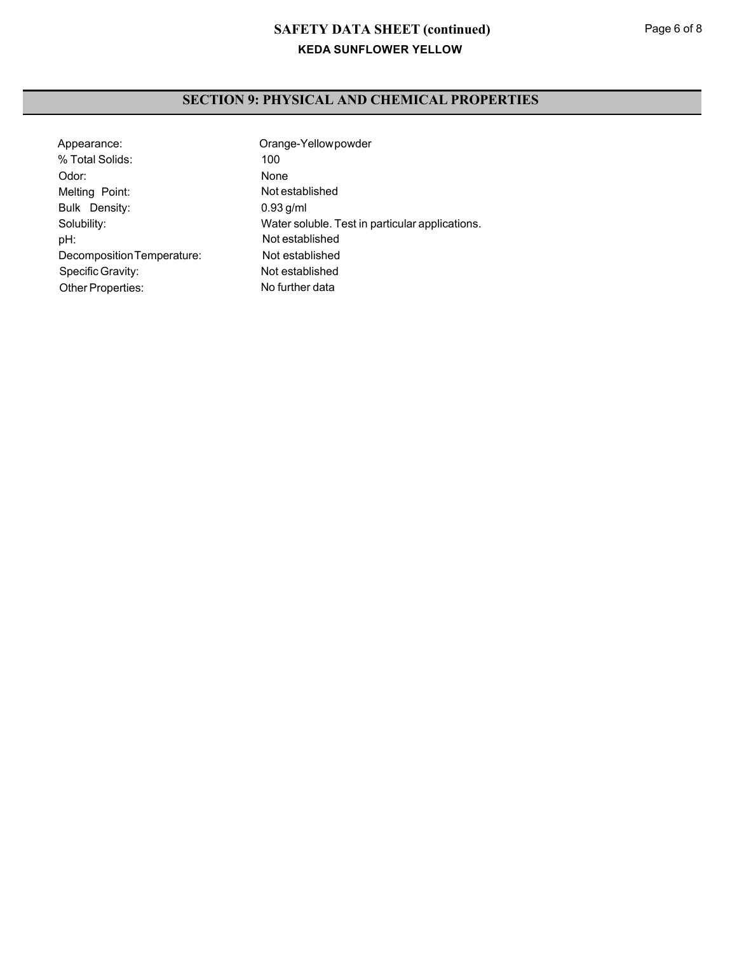# **SECTION 9: PHYSICAL AND CHEMICAL PROPERTIES**

| Appearance:                | Orange-Yellowpowder                             |
|----------------------------|-------------------------------------------------|
| % Total Solids:            | 100                                             |
| Odor:                      | None                                            |
| Melting Point:             | Not established                                 |
| Bulk Density:              | $0.93$ g/ml                                     |
| Solubility:                | Water soluble. Test in particular applications. |
| pH:                        | Not established                                 |
| Decomposition Temperature: | Not established                                 |
| Specific Gravity:          | Not established                                 |
| <b>Other Properties:</b>   | No further data                                 |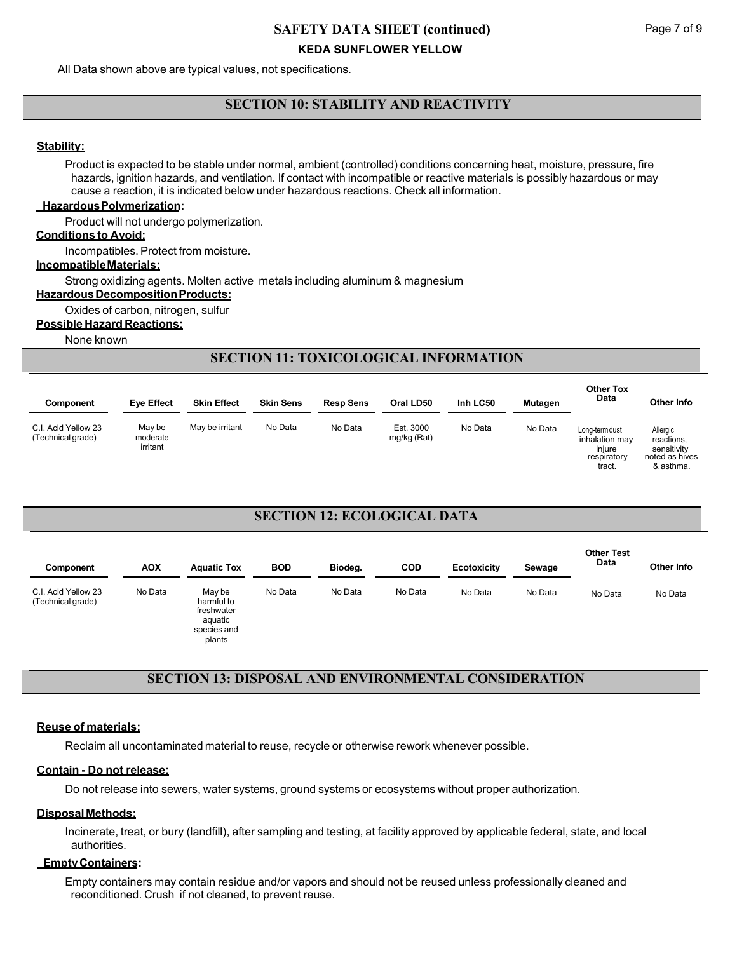All Data shown above are typical values, not specifications.

# **SECTION 10: STABILITY AND REACTIVITY**

### **Stability:**

Product is expected to be stable under normal, ambient (controlled) conditions concerning heat, moisture, pressure, fire hazards, ignition hazards, and ventilation. If contact with incompatible or reactive materials is possibly hazardous or may cause a reaction, it is indicated below under hazardous reactions. Check all information.

### **HazardousPolymerization:**

Product will not undergo polymerization.

### **Conditions to Avoid:**

Incompatibles. Protect from moisture.

### **IncompatibleMaterials:**

Strong oxidizing agents. Molten active metals including aluminum & magnesium

**Hazardous Decomposition Products:** 

Oxides of carbon, nitrogen, sulfur

### **Possible Hazard Reactions:**

None known

# **SECTION 11: TOXICOLOGICAL INFORMATION**

| Component                                | <b>Eye Effect</b>              | <b>Skin Effect</b> | <b>Skin Sens</b> | <b>Resp Sens</b> | Oral LD50                | Inh LC50 | <b>Mutagen</b> | <b>Other Tox</b><br>Data                                            | Other Info                                                           |
|------------------------------------------|--------------------------------|--------------------|------------------|------------------|--------------------------|----------|----------------|---------------------------------------------------------------------|----------------------------------------------------------------------|
| C.I. Acid Yellow 23<br>(Technical grade) | May be<br>moderate<br>irritant | May be irritant    | No Data          | No Data          | Est. 3000<br>mg/kg (Rat) | No Data  | No Data        | Long-term dust<br>inhalation may<br>iniure<br>respiratory<br>tract. | Allergic<br>reactions,<br>sensitivity<br>noted as hives<br>& asthma. |

# **SECTION 12: ECOLOGICAL DATA**

| Component                                | <b>AOX</b> | <b>Aquatic Tox</b>                                                     | <b>BOD</b> | Biodeg. | <b>COD</b> | Ecotoxicity | Sewage  | <b>Other Test</b><br>Data | Other Info |
|------------------------------------------|------------|------------------------------------------------------------------------|------------|---------|------------|-------------|---------|---------------------------|------------|
| C.I. Acid Yellow 23<br>(Technical grade) | No Data    | May be<br>harmful to<br>freshwater<br>aquatic<br>species and<br>plants | No Data    | No Data | No Data    | No Data     | No Data | No Data                   | No Data    |

# **SECTION 13: DISPOSAL AND ENVIRONMENTAL CONSIDERATION**

### **Reuse of materials:**

Reclaim all uncontaminated material to reuse, recycle or otherwise rework whenever possible.

## **Contain - Do not release:**

Do not release into sewers, water systems, ground systems or ecosystems without proper authorization.

## **DisposalMethods:**

Incinerate, treat, or bury (landfill), after sampling and testing, at facility approved by applicable federal, state, and local authorities.

## **EmptyContainers:**

Empty containers may contain residue and/or vapors and should not be reused unless professionally cleaned and reconditioned. Crush if not cleaned, to prevent reuse.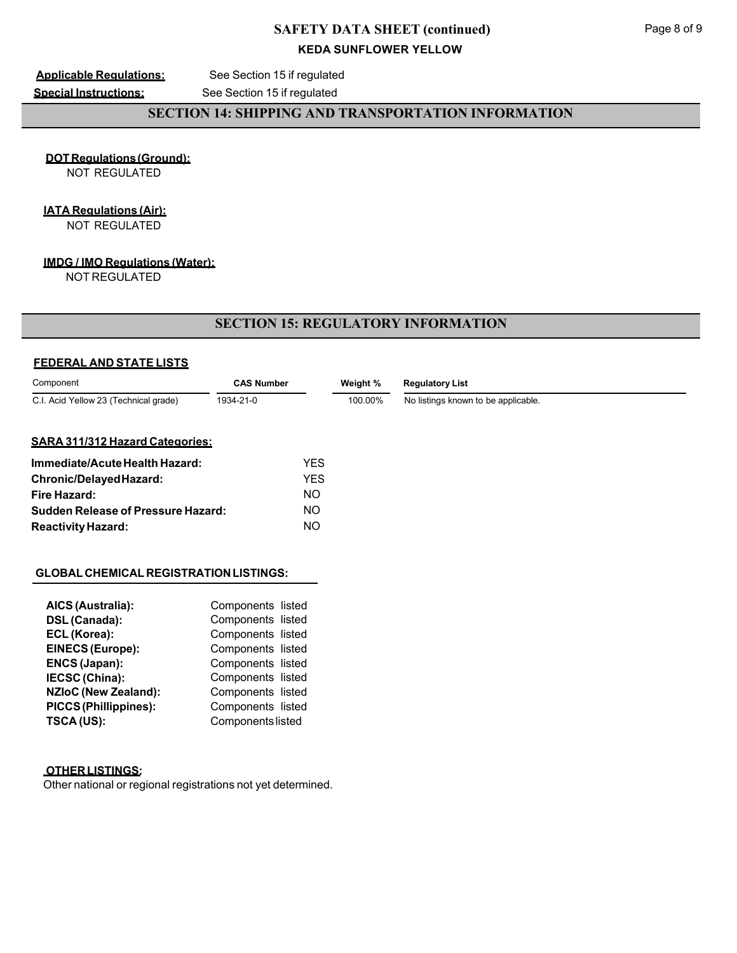**Applicable Regulations:** See Section 15 if regulated

**Special Instructions:** See Section 15 if regulated

# **SECTION 14: SHIPPING AND TRANSPORTATION INFORMATION**

**DOTRegulations(Ground):** NOT REGULATED

## **IATA Regulations (Air):**

NOT REGULATED

### **IMDG / IMO Regulations (Water):**

NOT REGULATED

## **SECTION 15: REGULATORY INFORMATION**

## **FEDERAL AND STATE LISTS**

| Component                                 | <b>CAS Number</b> |            | Weight % | <b>Regulatory List</b>              |  |
|-------------------------------------------|-------------------|------------|----------|-------------------------------------|--|
| C.I. Acid Yellow 23 (Technical grade)     | 1934-21-0         |            | 100.00%  | No listings known to be applicable. |  |
| <b>SARA 311/312 Hazard Categories:</b>    |                   |            |          |                                     |  |
| Immediate/Acute Health Hazard:            |                   | <b>YES</b> |          |                                     |  |
| Chronic/DelayedHazard:                    |                   | <b>YES</b> |          |                                     |  |
| Fire Hazard:                              |                   | NO.        |          |                                     |  |
| <b>Sudden Release of Pressure Hazard:</b> |                   | NO.        |          |                                     |  |

NO

### **GLOBAL CHEMICAL REGISTRATIONLISTINGS:**

| AICS (Australia):            | Components listed |  |
|------------------------------|-------------------|--|
| DSL (Canada):                | Components listed |  |
| ECL (Korea):                 | Components listed |  |
| <b>EINECS (Europe):</b>      | Components listed |  |
| ENCS (Japan):                | Components listed |  |
| IECSC (China):               | Components listed |  |
| <b>NZIoC (New Zealand):</b>  | Components listed |  |
| <b>PICCS (Phillippines):</b> | Components listed |  |
| TSCA (US):                   | Components listed |  |

## **OTHERLISTINGS:**

**ReactivityHazard:**

Other national or regional registrations not yet determined.